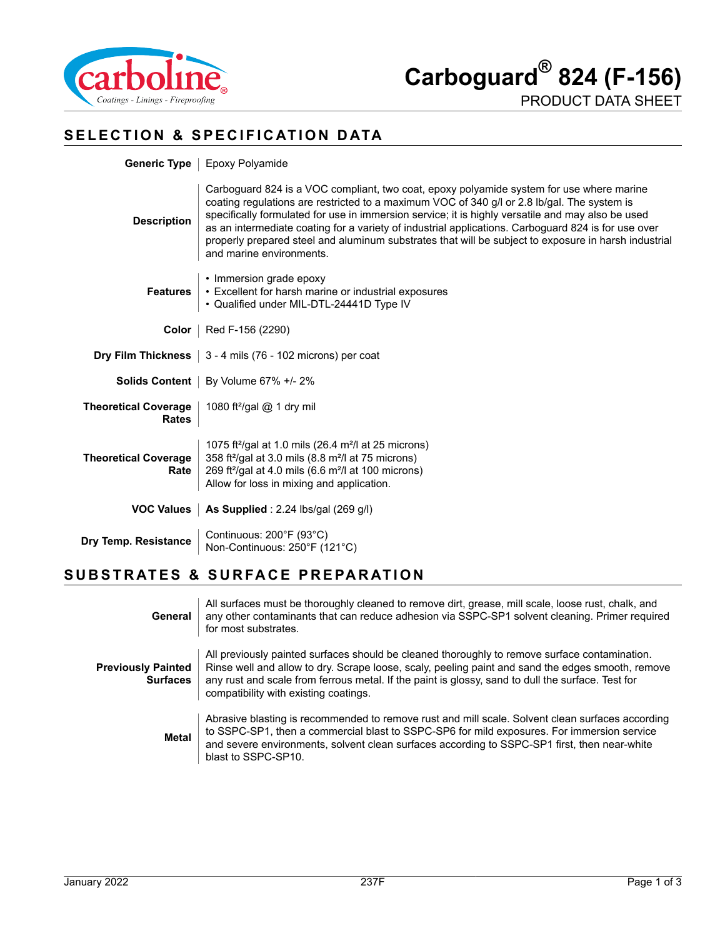

PRODUCT DATA SHEET

# **SELECTION & SPECIFICATION DATA**

|                                             | Generic Type   Epoxy Polyamide                                                                                                                                                                                                                                                                                                                                                                                                                                                                                                          |  |  |
|---------------------------------------------|-----------------------------------------------------------------------------------------------------------------------------------------------------------------------------------------------------------------------------------------------------------------------------------------------------------------------------------------------------------------------------------------------------------------------------------------------------------------------------------------------------------------------------------------|--|--|
| <b>Description</b>                          | Carboguard 824 is a VOC compliant, two coat, epoxy polyamide system for use where marine<br>coating regulations are restricted to a maximum VOC of 340 g/l or 2.8 lb/gal. The system is<br>specifically formulated for use in immersion service; it is highly versatile and may also be used<br>as an intermediate coating for a variety of industrial applications. Carboguard 824 is for use over<br>properly prepared steel and aluminum substrates that will be subject to exposure in harsh industrial<br>and marine environments. |  |  |
| <b>Features</b>                             | • Immersion grade epoxy<br>• Excellent for harsh marine or industrial exposures<br>• Qualified under MIL-DTL-24441D Type IV                                                                                                                                                                                                                                                                                                                                                                                                             |  |  |
| Color                                       | Red F-156 (2290)                                                                                                                                                                                                                                                                                                                                                                                                                                                                                                                        |  |  |
|                                             | <b>Dry Film Thickness</b> $\vert$ 3 - 4 mils (76 - 102 microns) per coat                                                                                                                                                                                                                                                                                                                                                                                                                                                                |  |  |
|                                             | <b>Solids Content</b>   By Volume 67% +/- 2%                                                                                                                                                                                                                                                                                                                                                                                                                                                                                            |  |  |
| <b>Theoretical Coverage</b><br><b>Rates</b> | 1080 ft <sup>2</sup> /gal @ 1 dry mil                                                                                                                                                                                                                                                                                                                                                                                                                                                                                                   |  |  |
| <b>Theoretical Coverage</b><br>Rate         | 1075 ft <sup>2</sup> /gal at 1.0 mils (26.4 m <sup>2</sup> /l at 25 microns)<br>358 ft <sup>2</sup> /gal at 3.0 mils (8.8 m <sup>2</sup> /l at 75 microns)<br>269 ft <sup>2</sup> /gal at 4.0 mils (6.6 m <sup>2</sup> /l at 100 microns)<br>Allow for loss in mixing and application.                                                                                                                                                                                                                                                  |  |  |
| <b>VOC Values</b>                           | As Supplied : $2.24$ lbs/gal (269 g/l)                                                                                                                                                                                                                                                                                                                                                                                                                                                                                                  |  |  |
| Dry Temp. Resistance                        | Continuous: 200°F (93°C)<br>Non-Continuous: 250°F (121°C)                                                                                                                                                                                                                                                                                                                                                                                                                                                                               |  |  |

### **SUBSTRATES & SURFACE PREPARATION**

| General                                      | All surfaces must be thoroughly cleaned to remove dirt, grease, mill scale, loose rust, chalk, and<br>any other contaminants that can reduce adhesion via SSPC-SP1 solvent cleaning. Primer required<br>for most substrates.                                                                                                                     |
|----------------------------------------------|--------------------------------------------------------------------------------------------------------------------------------------------------------------------------------------------------------------------------------------------------------------------------------------------------------------------------------------------------|
| <b>Previously Painted</b><br><b>Surfaces</b> | All previously painted surfaces should be cleaned thoroughly to remove surface contamination.<br>Rinse well and allow to dry. Scrape loose, scaly, peeling paint and sand the edges smooth, remove<br>any rust and scale from ferrous metal. If the paint is glossy, sand to dull the surface. Test for<br>compatibility with existing coatings. |
| <b>Metal</b>                                 | Abrasive blasting is recommended to remove rust and mill scale. Solvent clean surfaces according<br>to SSPC-SP1, then a commercial blast to SSPC-SP6 for mild exposures. For immersion service<br>and severe environments, solvent clean surfaces according to SSPC-SP1 first, then near-white<br>blast to SSPC-SP10.                            |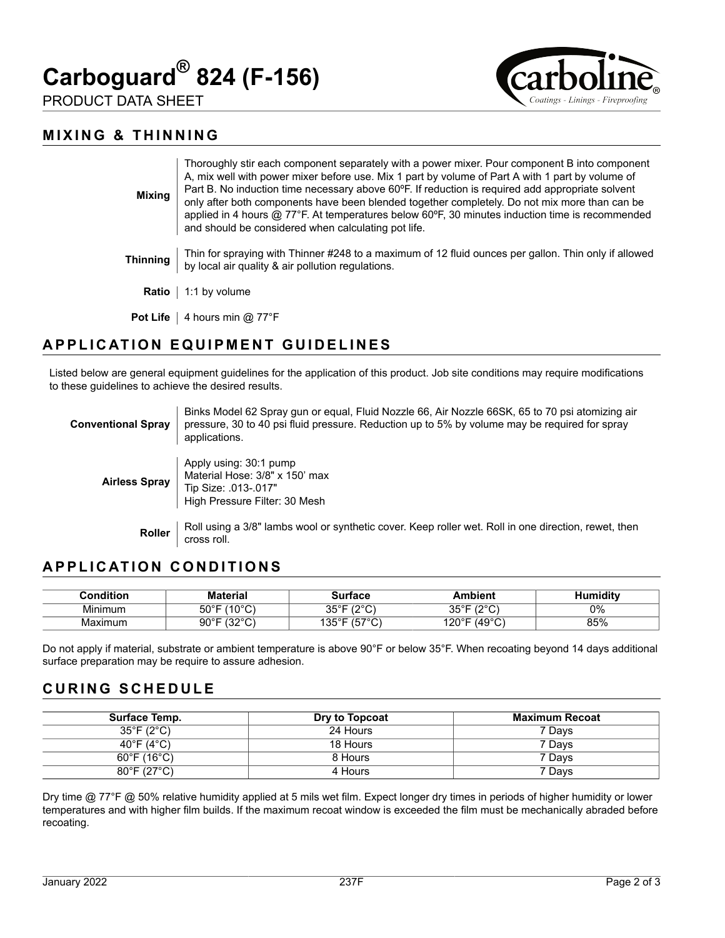



PRODUCT DATA SHEET

#### **MIXING & THINNING**

| <b>Mixing</b>   | Thoroughly stir each component separately with a power mixer. Pour component B into component<br>A, mix well with power mixer before use. Mix 1 part by volume of Part A with 1 part by volume of<br>Part B. No induction time necessary above 60°F. If reduction is required add appropriate solvent<br>only after both components have been blended together completely. Do not mix more than can be<br>applied in 4 hours $@$ 77°F. At temperatures below 60°F, 30 minutes induction time is recommended<br>and should be considered when calculating pot life. |
|-----------------|--------------------------------------------------------------------------------------------------------------------------------------------------------------------------------------------------------------------------------------------------------------------------------------------------------------------------------------------------------------------------------------------------------------------------------------------------------------------------------------------------------------------------------------------------------------------|
| <b>Thinning</b> | Thin for spraying with Thinner #248 to a maximum of 12 fluid ounces per gallon. Thin only if allowed<br>by local air quality & air pollution regulations.                                                                                                                                                                                                                                                                                                                                                                                                          |
| Ratio           | 1:1 by volume                                                                                                                                                                                                                                                                                                                                                                                                                                                                                                                                                      |
| <b>Pot Life</b> | 4 hours min @ 77°F                                                                                                                                                                                                                                                                                                                                                                                                                                                                                                                                                 |

# **APPLICATION EQUIPMENT GUIDELINES**

Listed below are general equipment guidelines for the application of this product. Job site conditions may require modifications to these guidelines to achieve the desired results.

| <b>Conventional Spray</b> | Binks Model 62 Spray gun or equal, Fluid Nozzle 66, Air Nozzle 66SK, 65 to 70 psi atomizing air<br>pressure, 30 to 40 psi fluid pressure. Reduction up to 5% by volume may be required for spray<br>applications. |
|---------------------------|-------------------------------------------------------------------------------------------------------------------------------------------------------------------------------------------------------------------|
| <b>Airless Spray</b>      | Apply using: 30:1 pump<br>Material Hose: 3/8" x 150' max<br>Tip Size: .013-.017"<br>High Pressure Filter: 30 Mesh                                                                                                 |
| <b>Roller</b>             | Roll using a 3/8" lambs wool or synthetic cover. Keep roller wet. Roll in one direction, rewet, then<br>cross roll.                                                                                               |

### **APPLICATION CONDITIONS**

| <b>Condition:</b> | Material                              | ∵'r†ace                              | <b>\mbient</b>                      | umidity |
|-------------------|---------------------------------------|--------------------------------------|-------------------------------------|---------|
| .<br>Minimum      | (100C)<br>$50^{\circ}$ F<br>ιU<br>َ ب | 1000<br><b>OEOF</b><br>$-$<br>ັ      | 1000<br>⊐∘⊐י<br>ູບ<br>ັ<br><u>_</u> | 0%      |
| Maximum           | 10000<br>$90^\circ$ F<br>ັ<br>ັ       | $1 - 70$<br>1つにっこ<br>، ت<br>ັ<br>ں ب | (49°C)<br>120°F                     | 85%     |

Do not apply if material, substrate or ambient temperature is above 90°F or below 35°F. When recoating beyond 14 days additional surface preparation may be require to assure adhesion.

### **CURING SCHEDULE**

| Surface Temp.                    | Dry to Topcoat | Maximum Recoat |
|----------------------------------|----------------|----------------|
| $35^{\circ}$ F (2 $^{\circ}$ C)  | 24 Hours       | 7 Davs         |
| 40°F (4°C)                       | 18 Hours       | 7 Davs         |
| $60^{\circ}$ F (16 $^{\circ}$ C) | 8 Hours        | 7 Davs         |
| $80^{\circ}$ F (27 $^{\circ}$ C) | 4 Hours        | 7 Davs         |

Dry time @ 77°F @ 50% relative humidity applied at 5 mils wet film. Expect longer dry times in periods of higher humidity or lower temperatures and with higher film builds. If the maximum recoat window is exceeded the film must be mechanically abraded before recoating.